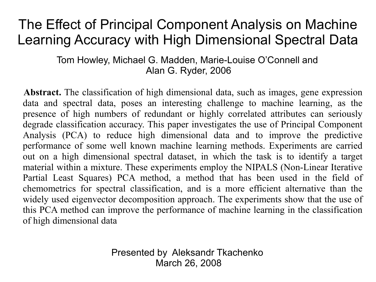#### The Effect of Principal Component Analysis on Machine Learning Accuracy with High Dimensional Spectral Data

Tom Howley, Michael G. Madden, Marie-Louise O'Connell and Alan G. Ryder, 2006

**Abstract.** The classification of high dimensional data, such as images, gene expression data and spectral data, poses an interesting challenge to machine learning, as the presence of high numbers of redundant or highly correlated attributes can seriously degrade classification accuracy. This paper investigates the use of Principal Component Analysis (PCA) to reduce high dimensional data and to improve the predictive performance of some well known machine learning methods. Experiments are carried out on a high dimensional spectral dataset, in which the task is to identify a target material within a mixture. These experiments employ the NIPALS (Non-Linear Iterative Partial Least Squares) PCA method, a method that has been used in the field of chemometrics for spectral classification, and is a more efficient alternative than the widely used eigenvector decomposition approach. The experiments show that the use of this PCA method can improve the performance of machine learning in the classification of high dimensional data

> Presented by Aleksandr Tkachenko March 26, 2008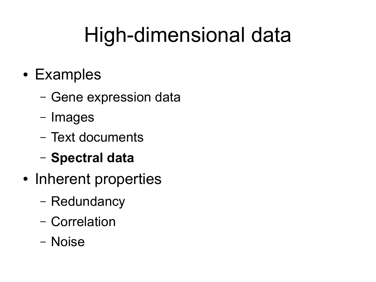# High-dimensional data

- Examples
	- Gene expression data
	- Images
	- Text documents
	- **Spectral data**
- Inherent properties
	- Redundancy
	- Correlation
	- Noise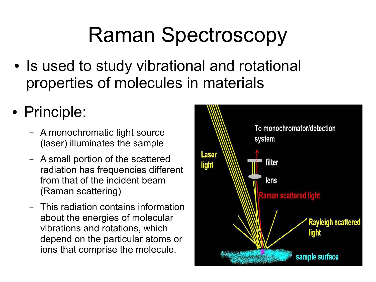# Raman Spectroscopy

- Is used to study vibrational and rotational properties of molecules in materials
- Principle:
	- A monochromatic light source (laser) illuminates the sample
	- A small portion of the scattered radiation has frequencies different from that of the incident beam (Raman scattering)
	- This radiation contains information about the energies of molecular vibrations and rotations, which depend on the particular atoms or ions that comprise the molecule.

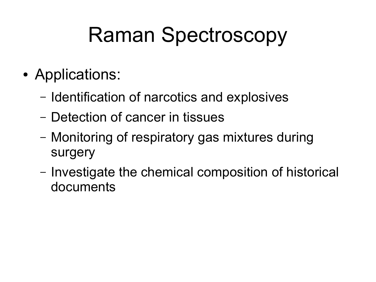# Raman Spectroscopy

- Applications:
	- Identification of narcotics and explosives
	- Detection of cancer in tissues
	- Monitoring of respiratory gas mixtures during surgery
	- Investigate the chemical composition of historical documents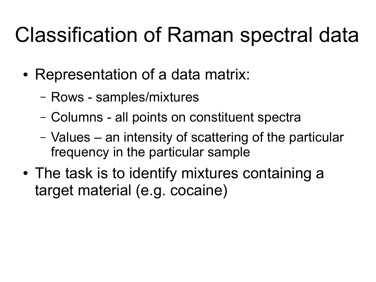# Classification of Raman spectral data

- Representation of a data matrix:
	- Rows samples/mixtures
	- Columns all points on constituent spectra
	- Values an intensity of scattering of the particular frequency in the particular sample
- The task is to identify mixtures containing a target material (e.g. cocaine)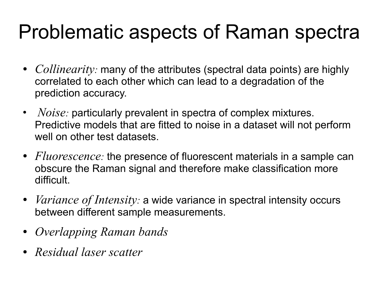#### Problematic aspects of Raman spectra

- *Collinearity:* many of the attributes (spectral data points) are highly correlated to each other which can lead to a degradation of the prediction accuracy.
- *Noise:* particularly prevalent in spectra of complex mixtures. Predictive models that are fitted to noise in a dataset will not perform well on other test datasets.
- *Fluorescence:* the presence of fluorescent materials in a sample can obscure the Raman signal and therefore make classification more difficult.
- *Variance of Intensity:* a wide variance in spectral intensity occurs between different sample measurements.
- *Overlapping Raman bands*
- *Residual laser scatter*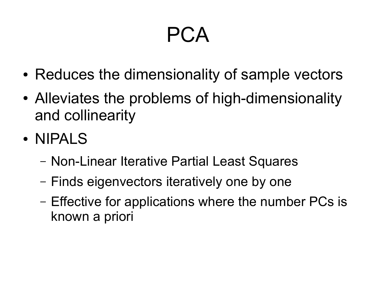# PCA

- Reduces the dimensionality of sample vectors
- Alleviates the problems of high-dimensionality and collinearity
- NIPALS
	- Non-Linear Iterative Partial Least Squares
	- Finds eigenvectors iteratively one by one
	- Effective for applications where the number PCs is known a priori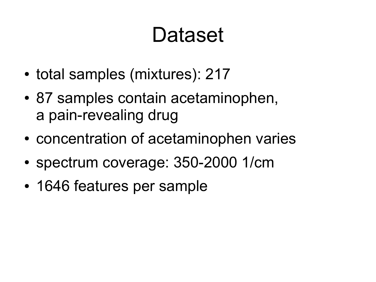# Dataset

- total samples (mixtures): 217
- 87 samples contain acetaminophen, a pain-revealing drug
- concentration of acetaminophen varies
- spectrum coverage: 350-2000 1/cm
- 1646 features per sample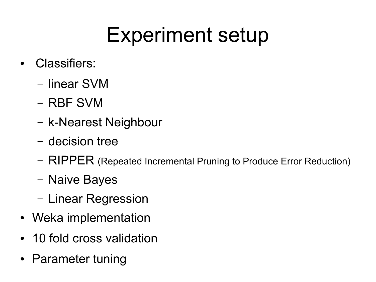# Experiment setup

- Classifiers:
	- linear SVM
	- RBF SVM
	- k-Nearest Neighbour
	- decision tree
	- RIPPER (Repeated Incremental Pruning to Produce Error Reduction)
	- Naive Bayes
	- Linear Regression
- Weka implementation
- 10 fold cross validation
- Parameter tuning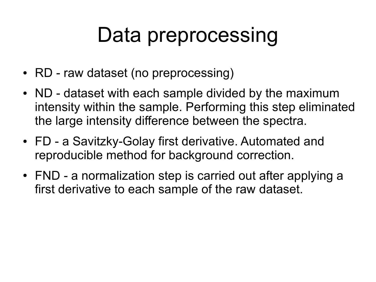# Data preprocessing

- RD raw dataset (no preprocessing)
- ND dataset with each sample divided by the maximum intensity within the sample. Performing this step eliminated the large intensity difference between the spectra.
- FD a Savitzky-Golay first derivative. Automated and reproducible method for background correction.
- FND a normalization step is carried out after applying a first derivative to each sample of the raw dataset.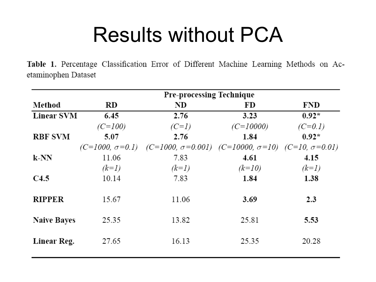#### Results without PCA

Table 1. Percentage Classification Error of Different Machine Learning Methods on Acetaminophen Dataset

|                    |                        | <b>Pre-processing Technique</b>                                       |             |            |  |  |  |
|--------------------|------------------------|-----------------------------------------------------------------------|-------------|------------|--|--|--|
| Method             | <b>RD</b>              | ND                                                                    | FD          | <b>FND</b> |  |  |  |
| <b>Linear SVM</b>  | 6.45                   | 2.76                                                                  | 3.23        | $0.92*$    |  |  |  |
|                    | $(C=100)$              | $(C=1)$                                                               | $(C=10000)$ | $(C=0.1)$  |  |  |  |
| <b>RBF SVM</b>     | 5.07                   | 2.76                                                                  | 1.84        | $0.92*$    |  |  |  |
|                    | $(C=1000, \sigma=0.1)$ | $(C=1000, \sigma=0.001)$ $(C=10000, \sigma=10)$ $(C=10, \sigma=0.01)$ |             |            |  |  |  |
| $k-NN$             | 11.06                  | 7.83                                                                  | 4.61        | 4.15       |  |  |  |
|                    | $(k=1)$                | $(k=1)$                                                               | $(k=10)$    | $(k=1)$    |  |  |  |
| C4.5               | 10.14                  | 7.83                                                                  | 1.84        | 1.38       |  |  |  |
|                    |                        |                                                                       |             |            |  |  |  |
| <b>RIPPER</b>      | 15.67                  | 11.06                                                                 | 3.69        | 2.3        |  |  |  |
|                    |                        |                                                                       |             |            |  |  |  |
| <b>Naive Bayes</b> | 25.35                  | 13.82                                                                 | 25.81       | 5.53       |  |  |  |
|                    |                        |                                                                       |             |            |  |  |  |
| Linear Reg.        | 27.65                  | 16.13                                                                 | 25.35       | 20.28      |  |  |  |
|                    |                        |                                                                       |             |            |  |  |  |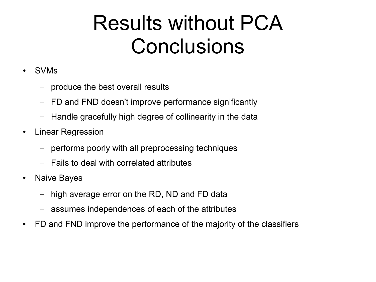## Results without PCA **Conclusions**

- SVMs
	- produce the best overall results
	- FD and FND doesn't improve performance significantly
	- Handle gracefully high degree of collinearity in the data
- Linear Regression
	- performs poorly with all preprocessing techniques
	- Fails to deal with correlated attributes
- Naive Bayes
	- high average error on the RD, ND and FD data
	- assumes independences of each of the attributes
- FD and FND improve the performance of the majority of the classifiers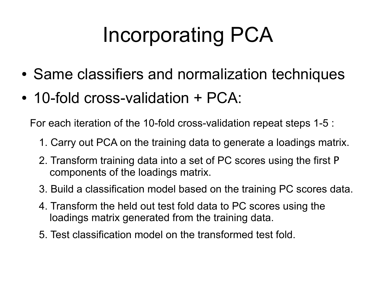# Incorporating PCA

- Same classifiers and normalization techniques
- 10-fold cross-validation + PCA:

For each iteration of the 10-fold cross-validation repeat steps 1-5 :

- 1. Carry out PCA on the training data to generate a loadings matrix.
- 2. Transform training data into a set of PC scores using the first P components of the loadings matrix.
- 3. Build a classification model based on the training PC scores data.
- 4. Transform the held out test fold data to PC scores using the loadings matrix generated from the training data.
- 5. Test classification model on the transformed test fold.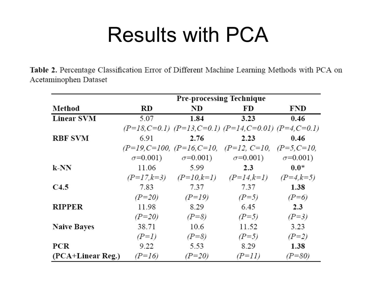#### Results with PCA

Table 2. Percentage Classification Error of Different Machine Learning Methods with PCA on Acetaminophen Dataset

|                    | <b>Pre-processing Technique</b> |                           |                                                                 |                    |  |
|--------------------|---------------------------------|---------------------------|-----------------------------------------------------------------|--------------------|--|
| Method             | RD                              | ND                        | FD                                                              | FND                |  |
| <b>Linear SVM</b>  | 5.07                            | 1.84                      | 3.23                                                            | 0.46               |  |
|                    |                                 |                           | $(P=18, C=0.1)$ $(P=13, C=0.1)$ $(P=14, C=0.01)$ $(P=4, C=0.1)$ |                    |  |
| <b>RBF SVM</b>     | 6.91                            | 2.76                      | 2.23                                                            | 0.46               |  |
|                    |                                 |                           | $(P=19, C=100, (P=16, C=10, (P=12, C=10,$                       | $(P=5, C=10,$      |  |
|                    | $\sigma = 0.001$ )              | $\sigma = 0.001$ )        | $\sigma = 0.001$ )                                              | $\sigma = 0.001$ ) |  |
| k-NN               | 11.06                           | 5.99                      | 2.3                                                             | $0.0*$             |  |
|                    |                                 | $(P=17,k=3)$ $(P=10,k=1)$ | $(P=14,k=1)$                                                    | $(P=4, k=5)$       |  |
| C4.5               | 7.83                            | 7.37                      | 7.37                                                            | 1.38               |  |
|                    | $(P=20)$                        | $(P=19)$                  | $(P=5)$                                                         | $(P=6)$            |  |
| <b>RIPPER</b>      | 11.98                           | 8.29                      | 6.45                                                            | 2.3                |  |
|                    | $(P=20)$                        | $(P=8)$                   | $(P=5)$                                                         | $(P=3)$            |  |
| <b>Naive Bayes</b> | 38.71                           | 10.6                      | 11.52                                                           | 3.23               |  |
|                    | $(P=1)$                         | $(P=8)$                   | $(P=5)$                                                         | $(P=2)$            |  |
| <b>PCR</b>         | 9.22                            | 5.53                      | 8.29                                                            | 1.38               |  |
| (PCA+Linear Reg.)  | $(P=16)$                        | $(P=20)$                  | $(P=11)$                                                        | $(P=80)$           |  |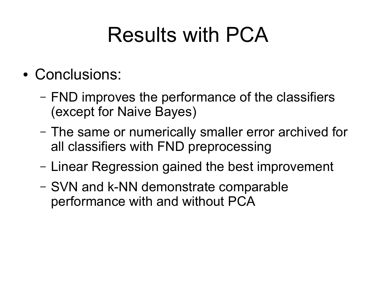# Results with PCA

- Conclusions:
	- FND improves the performance of the classifiers (except for Naive Bayes)
	- The same or numerically smaller error archived for all classifiers with FND preprocessing
	- Linear Regression gained the best improvement
	- SVN and k-NN demonstrate comparable performance with and without PCA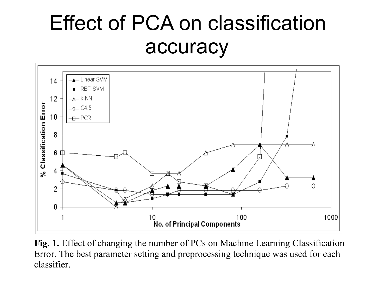### Effect of PCA on classification accuracy



**Fig. 1.** Effect of changing the number of PCs on Machine Learning Classification Error. The best parameter setting and preprocessing technique was used for each classifier.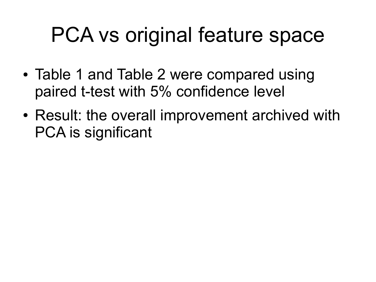# PCA vs original feature space

- Table 1 and Table 2 were compared using paired t-test with 5% confidence level
- Result: the overall improvement archived with PCA is significant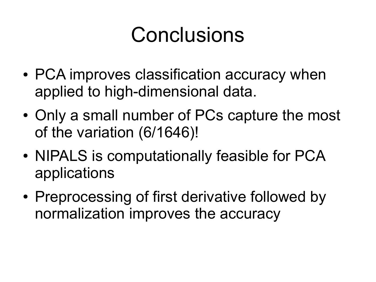# Conclusions

- PCA improves classification accuracy when applied to high-dimensional data.
- Only a small number of PCs capture the most of the variation (6/1646)!
- NIPALS is computationally feasible for PCA applications
- Preprocessing of first derivative followed by normalization improves the accuracy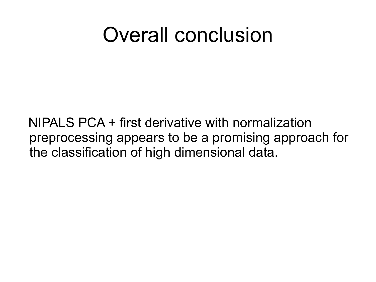#### Overall conclusion

 NIPALS PCA + first derivative with normalization preprocessing appears to be a promising approach for the classification of high dimensional data.